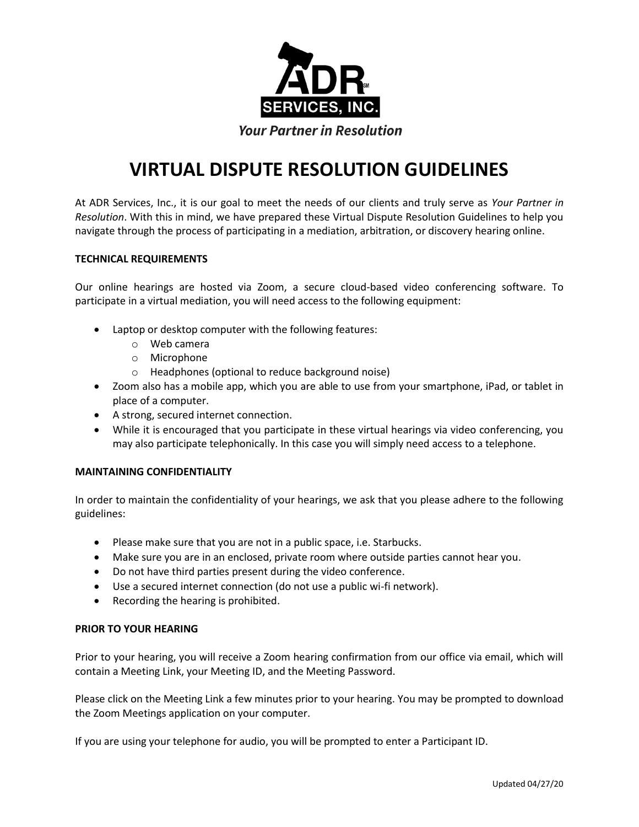

# **VIRTUAL DISPUTE RESOLUTION GUIDELINES**

At ADR Services, Inc., it is our goal to meet the needs of our clients and truly serve as *Your Partner in Resolution*. With this in mind, we have prepared these Virtual Dispute Resolution Guidelines to help you navigate through the process of participating in a mediation, arbitration, or discovery hearing online.

## **TECHNICAL REQUIREMENTS**

Our online hearings are hosted via Zoom, a secure cloud-based video conferencing software. To participate in a virtual mediation, you will need access to the following equipment:

- Laptop or desktop computer with the following features:
	- o Web camera
	- o Microphone
	- o Headphones (optional to reduce background noise)
- Zoom also has a mobile app, which you are able to use from your smartphone, iPad, or tablet in place of a computer.
- A strong, secured internet connection.
- While it is encouraged that you participate in these virtual hearings via video conferencing, you may also participate telephonically. In this case you will simply need access to a telephone.

### **MAINTAINING CONFIDENTIALITY**

In order to maintain the confidentiality of your hearings, we ask that you please adhere to the following guidelines:

- Please make sure that you are not in a public space, i.e. Starbucks.
- Make sure you are in an enclosed, private room where outside parties cannot hear you.
- Do not have third parties present during the video conference.
- Use a secured internet connection (do not use a public wi-fi network).
- Recording the hearing is prohibited.

### **PRIOR TO YOUR HEARING**

Prior to your hearing, you will receive a Zoom hearing confirmation from our office via email, which will contain a Meeting Link, your Meeting ID, and the Meeting Password.

Please click on the Meeting Link a few minutes prior to your hearing. You may be prompted to download the Zoom Meetings application on your computer.

If you are using your telephone for audio, you will be prompted to enter a Participant ID.